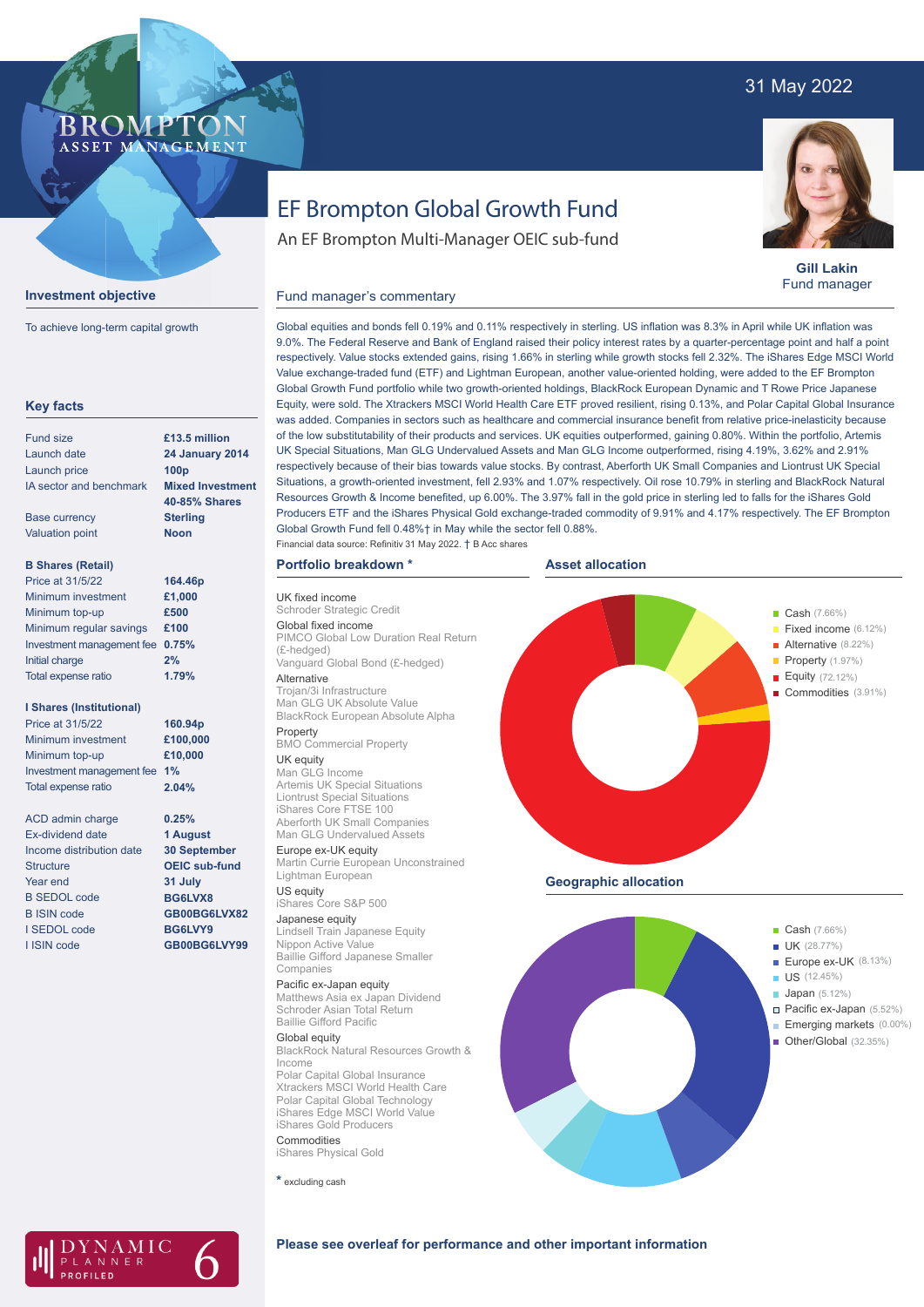### 31 May 2022

### BROMPTO ASSET MANAGEMENT



To achieve long-term capital growth

| £13.5 million<br><b>24 January 2014</b><br>100 <sub>p</sub><br><b>Mixed Investment</b><br>40-85% Shares<br><b>Sterling</b><br><b>Noon</b><br>164.46p<br>£1,000<br>£500<br>£100<br>0.75%<br>2%<br>1.79% |
|--------------------------------------------------------------------------------------------------------------------------------------------------------------------------------------------------------|
|                                                                                                                                                                                                        |
|                                                                                                                                                                                                        |
|                                                                                                                                                                                                        |
|                                                                                                                                                                                                        |
|                                                                                                                                                                                                        |
|                                                                                                                                                                                                        |
|                                                                                                                                                                                                        |
|                                                                                                                                                                                                        |
|                                                                                                                                                                                                        |
|                                                                                                                                                                                                        |
|                                                                                                                                                                                                        |
|                                                                                                                                                                                                        |
|                                                                                                                                                                                                        |
|                                                                                                                                                                                                        |
|                                                                                                                                                                                                        |
| 160.94p                                                                                                                                                                                                |
| £100,000                                                                                                                                                                                               |
| £10,000                                                                                                                                                                                                |
|                                                                                                                                                                                                        |
| 2.04%                                                                                                                                                                                                  |
| 0.25%                                                                                                                                                                                                  |
| 1 August                                                                                                                                                                                               |
| <b>30 September</b>                                                                                                                                                                                    |
| <b>OEIC sub-fund</b>                                                                                                                                                                                   |
| 31 July                                                                                                                                                                                                |
| BG6LVX8                                                                                                                                                                                                |
| GB00BG6LVX82                                                                                                                                                                                           |
| BG6LVY9                                                                                                                                                                                                |
| GB00BG6LVY99                                                                                                                                                                                           |
| 1%                                                                                                                                                                                                     |

# EF Brompton Global Growth Fund

An EF Brompton Multi-Manager OEIC sub-fund

**Gill Lakin** Fund manager

### Fund manager's commentary

Global equities and bonds fell 0.19% and 0.11% respectively in sterling. US inflation was 8.3% in April while UK inflation was 9.0%. The Federal Reserve and Bank of England raised their policy interest rates by a quarter-percentage point and half a point respectively. Value stocks extended gains, rising 1.66% in sterling while growth stocks fell 2.32%. The iShares Edge MSCI World Value exchange-traded fund (ETF) and Lightman European, another value-oriented holding, were added to the EF Brompton Global Growth Fund portfolio while two growth-oriented holdings, BlackRock European Dynamic and T Rowe Price Japanese Equity, were sold. The Xtrackers MSCI World Health Care ETF proved resilient, rising 0.13%, and Polar Capital Global Insurance was added. Companies in sectors such as healthcare and commercial insurance benefit from relative price-inelasticity because of the low substitutability of their products and services. UK equities outperformed, gaining 0.80%. Within the portfolio, Artemis UK Special Situations, Man GLG Undervalued Assets and Man GLG Income outperformed, rising 4.19%, 3.62% and 2.91% respectively because of their bias towards value stocks. By contrast, Aberforth UK Small Companies and Liontrust UK Special Situations, a growth-oriented investment, fell 2.93% and 1.07% respectively. Oil rose 10.79% in sterling and BlackRock Natural Resources Growth & Income benefited, up 6.00%. The 3.97% fall in the gold price in sterling led to falls for the iShares Gold Producers ETF and the iShares Physical Gold exchange-traded commodity of 9.91% and 4.17% respectively. The EF Brompton Global Growth Fund fell 0.48%† in May while the sector fell 0.88%.

## Financial data source: Refinitiv 31 May 2022. † B Acc shares

### **Portfolio breakdown \***

UK fixed income Schroder Strategic Credit Global fixed income PIMCO Global Low Duration Real Return (£-hedged) Vanguard Global Bond (£-hedged)

Alternative Trojan/3i Infrastructure Man GLG UK Absolute Value BlackRock European Absolute Alpha Property

#### BMO Commercial Property UK equity

Man GLG Income Artemis UK Special Situations Liontrust Special Situations iShares Core FTSE 100 Aberforth UK Small Companies Man GLG Undervalued Assets

Europe ex-UK equity Martin Currie European Unconstrained Lightman European

US equity iShares Core S&P 500

Japanese equity Lindsell Train Japanese Equity Nippon Active Value Baillie Gifford Japanese Smaller Companies

Pacific ex-Japan equity

Matthews Asia ex Japan Dividend Schroder Asian Total Return Baillie Gifford Pacific

#### Global equity

BlackRock Natural Resources Growth & Income Polar Capital Global Insurance

Xtrackers MSCI World Health Care Polar Capital Global Technology iShares Edge MSCI World Value iShares Gold Producers **Commodities** 

iShares Physical Gold

**\*** excluding cash







### **Please see overleaf for performance and other important information**